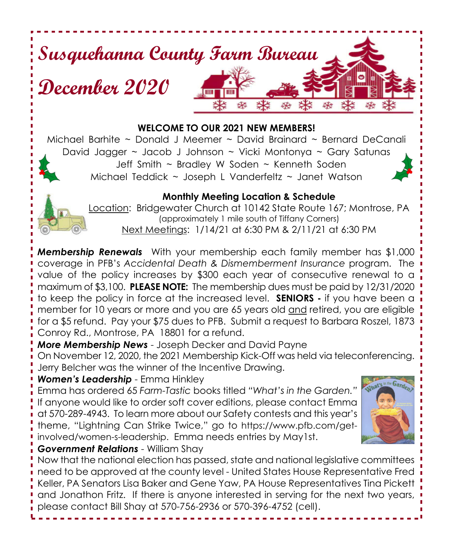# **Susquehanna County Farm Bureau December 2020**

#### **WELCOME TO OUR 2021 NEW MEMBERS!**

Michael Barhite  $\sim$  Donald J Meemer  $\sim$  David Brainard  $\sim$  Bernard DeCanali David Jagger ~ Jacob J Johnson ~ Vicki Montonya ~ Gary Satunas Jeff Smith ~ Bradley W Soden ~ Kenneth Soden Michael Teddick ~ Joseph L Vanderfeltz ~ Janet Watson



Location: Bridgewater Church at 10142 State Route 167; Montrose, PA (approximately 1 mile south of Tiffany Corners) Next Meetings: 1/14/21 at 6:30 PM & 2/11/21 at 6:30 PM

*Membership Renewals* With your membership each family member has \$1,000 coverage in PFB's *Accidental Death & Dismemberment Insurance* program. The value of the policy increases by \$300 each year of consecutive renewal to a maximum of \$3,100. **PLEASE NOTE:** The membership dues must be paid by 12/31/2020 to keep the policy in force at the increased level. **SENIORS -** if you have been a member for 10 years or more and you are 65 years old and retired, you are eligible for a \$5 refund. Pay your \$75 dues to PFB. Submit a request to Barbara Roszel, 1873 Conroy Rd., Montrose, PA 18801 for a refund.

*More Membership News* - Joseph Decker and David Payne

On November 12, 2020, the 2021 Membership Kick-Off was held via teleconferencing. Jerry Belcher was the winner of the Incentive Drawing.

## *Women's Leadership* - Emma Hinkley

Emma has ordered 65 *Farm-Tastic* books titled *"What's in the Garden."* If anyone would like to order soft cover editions, please contact Emma at 570-289-4943. To learn more about our Safety contests and this year's theme, "Lightning Can Strike Twice," go to https://www.pfb.com/getinvolved/women-s-leadership. Emma needs entries by May1st.



## *Government Relations* - William Shay

Now that the national election has passed, state and national legislative committees need to be approved at the county level - United States House Representative Fred Keller, PA Senators Lisa Baker and Gene Yaw, PA House Representatives Tina Pickett and Jonathon Fritz. If there is anyone interested in serving for the next two years, please contact Bill Shay at 570-756-2936 or 570-396-4752 (cell).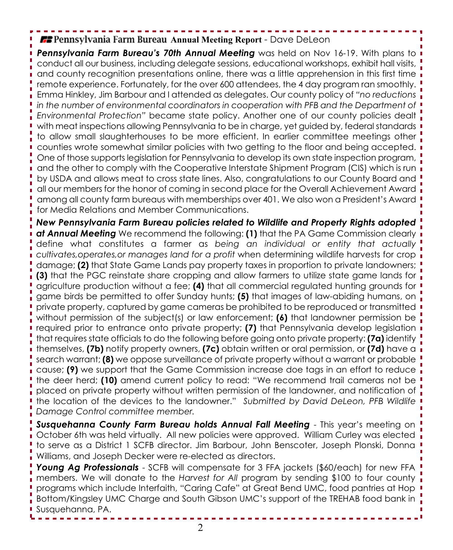## **Annual Meeting Report** - Dave Deleon

**Pennsylvania Farm Bureau's 70th Annual Meeting** was held on Nov 16-19. With plans to conduct all our business, including delegate sessions, educational workshops, exhibit hall visits, and county recognition presentations online, there was a little apprehension in this first time remote experience. Fortunately, for the over 600 attendees, the 4 day program ran smoothly. Emma Hinkley, Jim Barbour and I attended as delegates. Our county policy of *"no reductions in the number of environmental coordinators in cooperation with PFB and the Department of Environmental Protection"* became state policy. Another one of our county policies dealt with meat inspections allowing Pennsylvania to be in charge, yet guided by, federal standards  $\overline{\phantom{a}}$ to allow small slaughterhouses to be more efficient. In earlier committee meetings other counties wrote somewhat similar policies with two getting to the floor and being accepted. One of those supports legislation for Pennsylvania to develop its own state inspection program, and the other to comply with the Cooperative Interstate Shipment Program (CIS) which is run by USDA and allows meat to cross state lines. Also, congratulations to our County Board and all our members for the honor of coming in second place for the Overall Achievement Award among all county farm bureaus with memberships over 401. We also won a President's Award for Media Relations and Member Communications.

*New Pennsylvania Farm Bureau policies related to Wildlife and Property Rights adopted at Annual Meeting* We recommend the following: **(1)** that the PA Game Commission clearly define what constitutes a farmer as *being an individual or entity that actually cultivates,operates,or manages land for a profit* when determining wildlife harvests for crop damage; **(2)** that State Game Lands pay property taxes in proportion to private landowners; **(3)** that the PGC reinstate share cropping and allow farmers to utilize state game lands for agriculture production without a fee; **(4)** that all commercial regulated hunting grounds for game birds be permitted to offer Sunday hunts; **(5)** that images of law-abiding humans, on private property, captured by game cameras be prohibited to be reproduced or transmitted without permission of the subject(s) or law enforcement; **(6)** that landowner permission be required prior to entrance onto private property; **(7)** that Pennsylvania develop legislation that requires state officials to do the following before going onto private property: **(7a)** identify themselves, **(7b)** notify property owners, **(7c)** obtain written or oral permission, or **(7d)** have a search warrant; **(8)** we oppose surveillance of private property without a warrant or probable cause; **(9)** we support that the Game Commission increase doe tags in an effort to reduce the deer herd; **(10)** amend current policy to read: "We recommend trail cameras not be placed on private property without written permission of the landowner, and notification of the location of the devices to the landowner." *Submitted by David DeLeon, PFB Wildlife Damage Control committee member.*

*Susquehanna County Farm Bureau holds Annual Fall Meeting* - This year's meeting on October 6th was held virtually. All new policies were approved. William Curley was elected to serve as a District 1 SCFB director. Jim Barbour, John Benscoter, Joseph Plonski, Donna Williams, and Joseph Decker were re-elected as directors.

*Young Ag Professionals* - SCFB will compensate for 3 FFA jackets (\$60/each) for new FFA members. We will donate to the *Harvest for All* program by sending \$100 to four county programs which include Interfaith, "Caring Cafe" at Great Bend UMC, food pantries at Hop Bottom/Kingsley UMC Charge and South Gibson UMC's support of the TREHAB food bank in Susquehanna, PA.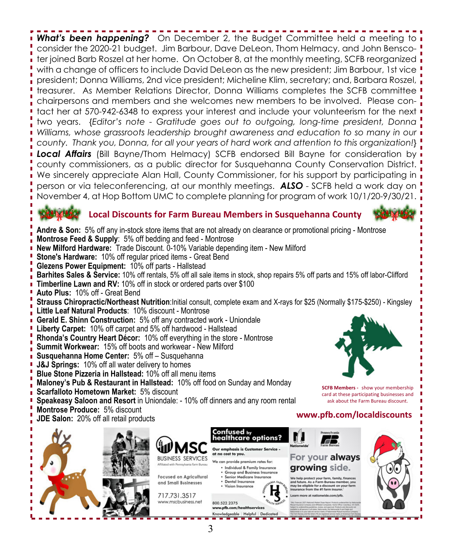**What's been happening?** On December 2, the Budget Committee held a meeting to **i** consider the 2020-21 budget. Jim Barbour, Dave DeLeon, Thom Helmacy, and John Benscoter joined Barb Roszel at her home. On October 8, at the monthly meeting, SCFB reorganized **i** with a change of officers to include David DeLeon as the new president; Jim Barbour, 1st vice president; Donna Williams, 2nd vice president; Micheline Klim, secretary; and, Barbara Roszel, treasurer. As Member Relations Director, Donna Williams completes the SCFB committee chairpersons and members and she welcomes new members to be involved. Please contact her at 570-942-6348 to express your interest and include your volunteerism for the next two years. {*Editor's note - Gratitude goes out to outgoing, long-time president, Donna Williams, whose grassroots leadership brought awareness and education to so many in our county. Thank you, Donna, for all your years of hard work and attention to this organization!*} **Local Affairs** (Bill Bayne/Thom Helmacy) SCFB endorsed Bill Bayne for consideration by **i** county commissioners, as a public director for Susquehanna County Conservation District. We sincerely appreciate Alan Hall, County Commissioner, for his support by participating in  $\overline{\mathbf{i}}$ person or via teleconferencing, at our monthly meetings. *ALSO* - SCFB held a work day on November 4, at Hop Bottom UMC to complete planning for program of work 10/1/20-9/30/21.

## **Local Discounts for Farm Bureau Members in Susquehanna County**



**www.pfb.com/localdiscounts**

**SCFB Members -** show your membership card at these participating businesses and ask about the Farm Bureau discount.

**Andre & Son:** 5% off any in-stock store items that are not already on clearance or promotional pricing - Montrose **Montrose Feed & Supply**: 5% off bedding and feed - Montrose

- **New Milford Hardware:** Trade Discount. 0-10% Variable depending item New Milford
- **Stone's Hardware:** 10% off regular priced items Great Bend
- **Glezens Power Equipment:** 10% off parts Hallstead
- **Barhites Sales & Service:** 10% off rentals, 5% off all sale items in stock, shop repairs 5% off parts and 15% off labor-Clifford

**Timberline Lawn and RV:** 10% off in stock or ordered parts over \$100

**Auto Plus:** 10% off - Great Bend

**Strauss Chiropractic/Northeast Nutrition**:Initial consult, complete exam and X-rays for \$25 (Normally \$175-\$250) - Kingsley

- **Little Leaf Natural Products**: 10% discount Montrose
- **Gerald E. Shinn Construction:** 5% off any contracted work Uniondale
- **Liberty Carpet:** 10% off carpet and 5% off hardwood Hallstead
- **Rhonda's Country Heart Décor:** 10% off everything in the store Montrose
- **Summit Workwear:** 15% off boots and workwear New Milford
- **Susquehanna Home Center:** 5% off Susquehanna
- **J&J Springs:** 10% off all water delivery to homes
- **Blue Stone Pizzeria in Hallstead:** 10% off all menu items
- **Maloney's Pub & Restaurant in Hallstead:** 10% off food on Sunday and Monday
- **Scarfalloto Hometown Market:** 5% discount
- **Speakeasy Saloon and Resort** in Uniondale: 10% off dinners and any room rental
- **Montrose Produce:** 5% discount
- **JDE Salon:** 20% off all retail products